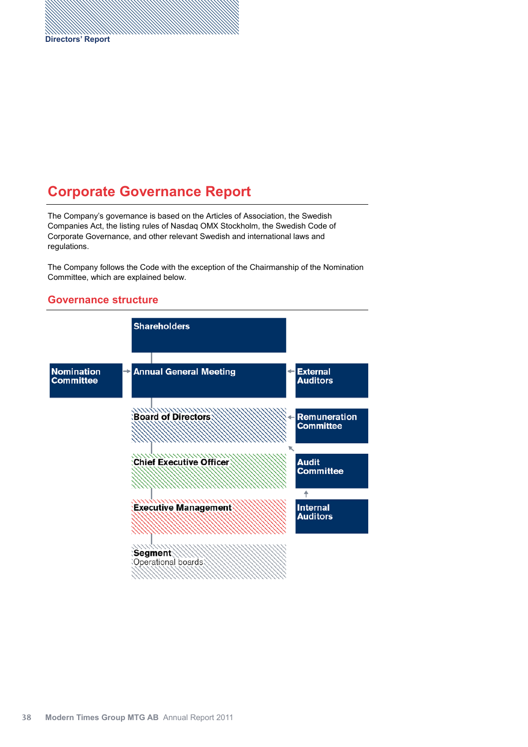# **Corporate Governance Report**

The Company's governance is based on the Articles of Association, the Swedish Companies Act, the listing rules of Nasdaq OMX Stockholm, the Swedish Code of Corporate Governance, and other relevant Swedish and international laws and regulations.

The Company follows the Code with the exception of the Chairmanship of the Nomination Committee, which are explained below.

### **Governance structure**

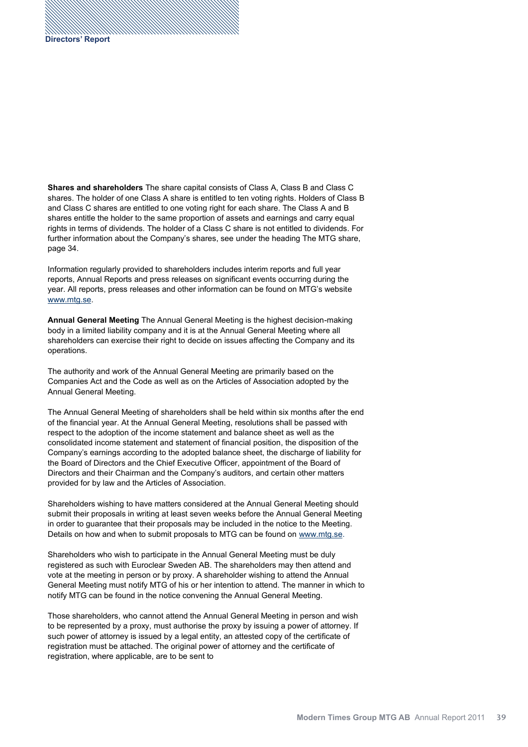**Shares and shareholders** The share capital consists of Class A, Class B and Class C shares. The holder of one Class A share is entitled to ten voting rights. Holders of Class B and Class C shares are entitled to one voting right for each share. The Class A and B shares entitle the holder to the same proportion of assets and earnings and carry equal rights in terms of dividends. The holder of a Class C share is not entitled to dividends. For further information about the Company's shares, see under the heading The MTG share, page 34.

Information regularly provided to shareholders includes interim reports and full year reports, Annual Reports and press releases on significant events occurring during the year. All reports, press releases and other information can be found on MTG's website www.mtg.se.

**Annual General Meeting** The Annual General Meeting is the highest decision-making body in a limited liability company and it is at the Annual General Meeting where all shareholders can exercise their right to decide on issues affecting the Company and its operations.

The authority and work of the Annual General Meeting are primarily based on the Companies Act and the Code as well as on the Articles of Association adopted by the Annual General Meeting.

The Annual General Meeting of shareholders shall be held within six months after the end of the financial year. At the Annual General Meeting, resolutions shall be passed with respect to the adoption of the income statement and balance sheet as well as the consolidated income statement and statement of financial position, the disposition of the Company's earnings according to the adopted balance sheet, the discharge of liability for the Board of Directors and the Chief Executive Officer, appointment of the Board of Directors and their Chairman and the Company's auditors, and certain other matters provided for by law and the Articles of Association.

Shareholders wishing to have matters considered at the Annual General Meeting should submit their proposals in writing at least seven weeks before the Annual General Meeting in order to guarantee that their proposals may be included in the notice to the Meeting. Details on how and when to submit proposals to MTG can be found on www.mtg.se.

Shareholders who wish to participate in the Annual General Meeting must be duly registered as such with Euroclear Sweden AB. The shareholders may then attend and vote at the meeting in person or by proxy. A shareholder wishing to attend the Annual General Meeting must notify MTG of his or her intention to attend. The manner in which to notify MTG can be found in the notice convening the Annual General Meeting.

Those shareholders, who cannot attend the Annual General Meeting in person and wish to be represented by a proxy, must authorise the proxy by issuing a power of attorney. If such power of attorney is issued by a legal entity, an attested copy of the certificate of registration must be attached. The original power of attorney and the certificate of registration, where applicable, are to be sent to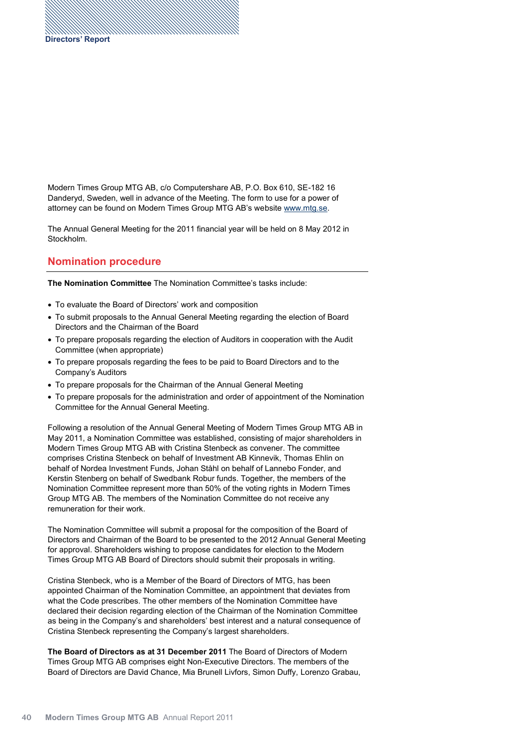Modern Times Group MTG AB, c/o Computershare AB, P.O. Box 610, SE-182 16 Danderyd, Sweden, well in advance of the Meeting. The form to use for a power of attorney can be found on Modern Times Group MTG AB's website www.mtg.se.

The Annual General Meeting for the 2011 financial year will be held on 8 May 2012 in Stockholm.

# **Nomination procedure**

**The Nomination Committee** The Nomination Committee's tasks include:

- To evaluate the Board of Directors' work and composition
- To submit proposals to the Annual General Meeting regarding the election of Board Directors and the Chairman of the Board
- To prepare proposals regarding the election of Auditors in cooperation with the Audit Committee (when appropriate)
- To prepare proposals regarding the fees to be paid to Board Directors and to the Company's Auditors
- To prepare proposals for the Chairman of the Annual General Meeting
- To prepare proposals for the administration and order of appointment of the Nomination Committee for the Annual General Meeting.

Following a resolution of the Annual General Meeting of Modern Times Group MTG AB in May 2011, a Nomination Committee was established, consisting of major shareholders in Modern Times Group MTG AB with Cristina Stenbeck as convener. The committee comprises Cristina Stenbeck on behalf of Investment AB Kinnevik, Thomas Ehlin on behalf of Nordea Investment Funds, Johan Ståhl on behalf of Lannebo Fonder, and Kerstin Stenberg on behalf of Swedbank Robur funds. Together, the members of the Nomination Committee represent more than 50% of the voting rights in Modern Times Group MTG AB. The members of the Nomination Committee do not receive any remuneration for their work.

The Nomination Committee will submit a proposal for the composition of the Board of Directors and Chairman of the Board to be presented to the 2012 Annual General Meeting for approval. Shareholders wishing to propose candidates for election to the Modern Times Group MTG AB Board of Directors should submit their proposals in writing.

Cristina Stenbeck, who is a Member of the Board of Directors of MTG, has been appointed Chairman of the Nomination Committee, an appointment that deviates from what the Code prescribes. The other members of the Nomination Committee have declared their decision regarding election of the Chairman of the Nomination Committee as being in the Company's and shareholders' best interest and a natural consequence of Cristina Stenbeck representing the Company's largest shareholders.

The Board of Directors as at 31 December 2011 The Board of Directors of Modern Times Group MTG AB comprises eight Non-Executive Directors. The members of the Board of Directors are David Chance, Mia Brunell Livfors, Simon Duffy, Lorenzo Grabau,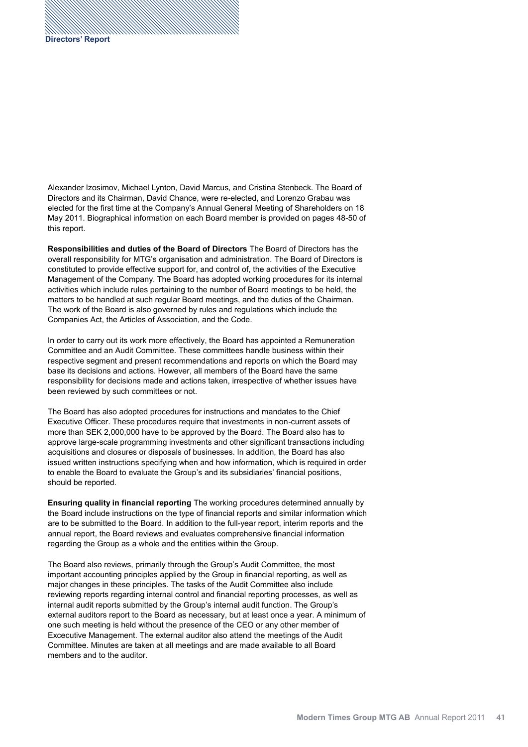Alexander Izosimov, Michael Lynton, David Marcus, and Cristina Stenbeck. The Board of Directors and its Chairman, David Chance, were re-elected, and Lorenzo Grabau was elected for the first time at the Company's Annual General Meeting of Shareholders on 1 May 2011. Biographical information on each Board member is provided on pages 48-50 of this report.

**Responsibilities and duties of the Board of Directors** The Board of Directors has the overall responsibility for MTG's organisation and administration. The Board of Directors is constituted to provide effective support for, and control of, the activities of the Executive Management of the Company. The Board has adopted working procedures for its internal activities which include rules pertaining to the number of Board meetings to be held, the matters to be handled at such regular Board meetings, and the duties of the Chairman. The work of the Board is also governed by rules and regulations which include the Companies Act, the Articles of Association, and the Code.

In order to carry out its work more effectively, the Board has appointed a Remuneration Committee and an Audit Committee. These committees handle business within their respective segment and present recommendations and reports on which the Board may base its decisions and actions. However, all members of the Board have the same responsibility for decisions made and actions taken, irrespective of whether issues have been reviewed by such committees or not.

The Board has also adopted procedures for instructions and mandates to the Chief Executive Officer. These procedures require that investments in non-current assets of more than SEK 2,000,000 have to be approved by the Board. The Board also has to approve large-scale programming investments and other significant transactions including acquisitions and closures or disposals of businesses. In addition, the Board has also issued written instructions specifying when and how information, which is required in order to enable the Board to evaluate the Group's and its subsidiaries' financial positions, should be reported.

**Ensuring quality in financial reporting** The working procedures determined annually by the Board include instructions on the type of financial reports and similar information which are to be submitted to the Board. In addition to the full-year report, interim reports and the annual report, the Board reviews and evaluates comprehensive financial information regarding the Group as a whole and the entities within the Group.

The Board also reviews, primarily through the Group's Audit Committee, the most important accounting principles applied by the Group in financial reporting, as well as major changes in these principles. The tasks of the Audit Committee also include reviewing reports regarding internal control and financial reporting processes, as well as internal audit reports submitted by the Group's internal audit function. The Group's external auditors report to the Board as necessary, but at least once a year. A minimum of one such meeting is held without the presence of the CEO or any other member of Excecutive Management. The external auditor also attend the meetings of the Audit Committee. Minutes are taken at all meetings and are made available to all Board members and to the auditor.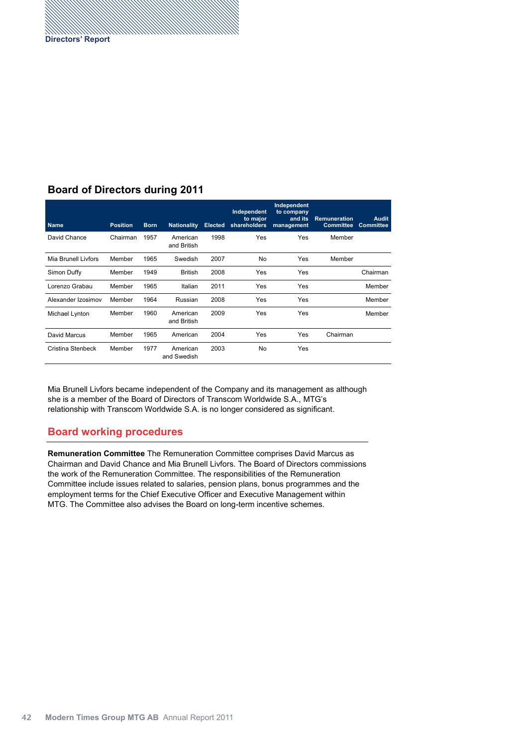# **Board of Directors during 2011**

| <b>Name</b>         | <b>Position</b> | <b>Born</b> | <b>Nationality</b>      | <b>Elected</b> | Independent<br>to major<br>shareholders | Independent<br>to company<br>and its<br>management | <b>Remuneration</b><br><b>Committee</b> | <b>Audit</b><br><b>Committee</b> |
|---------------------|-----------------|-------------|-------------------------|----------------|-----------------------------------------|----------------------------------------------------|-----------------------------------------|----------------------------------|
| David Chance        | Chairman        | 1957        | American<br>and British | 1998           | Yes                                     | Yes                                                | Member                                  |                                  |
| Mia Brunell Livfors | Member          | 1965        | Swedish                 | 2007           | No                                      | Yes                                                | Member                                  |                                  |
| Simon Duffy         | Member          | 1949        | <b>British</b>          | 2008           | Yes                                     | Yes                                                |                                         | Chairman                         |
| Lorenzo Grabau      | Member          | 1965        | Italian                 | 2011           | Yes                                     | Yes                                                |                                         | Member                           |
| Alexander Izosimov  | Member          | 1964        | Russian                 | 2008           | Yes                                     | Yes                                                |                                         | Member                           |
| Michael Lynton      | Member          | 1960        | American<br>and British | 2009           | Yes                                     | Yes                                                |                                         | Member                           |
| David Marcus        | Member          | 1965        | American                | 2004           | Yes                                     | Yes                                                | Chairman                                |                                  |
| Cristina Stenbeck   | Member          | 1977        | American<br>and Swedish | 2003           | No                                      | Yes                                                |                                         |                                  |

Mia Brunell Livfors became independent of the Company and its management as although she is a member of the Board of Directors of Transcom Worldwide S.A., MTG's relationship with Transcom Worldwide S.A. is no longer considered as significant.

#### **Board working procedures**

**Remuneration Committee** The Remuneration Committee comprises David Marcus as Chairman and David Chance and Mia Brunell Livfors. The Board of Directors commissions the work of the Remuneration Committee. The responsibilities of the Remuneration Committee include issues related to salaries, pension plans, bonus programmes and the employment terms for the Chief Executive Officer and Executive Management within MTG. The Committee also advises the Board on long-term incentive schemes.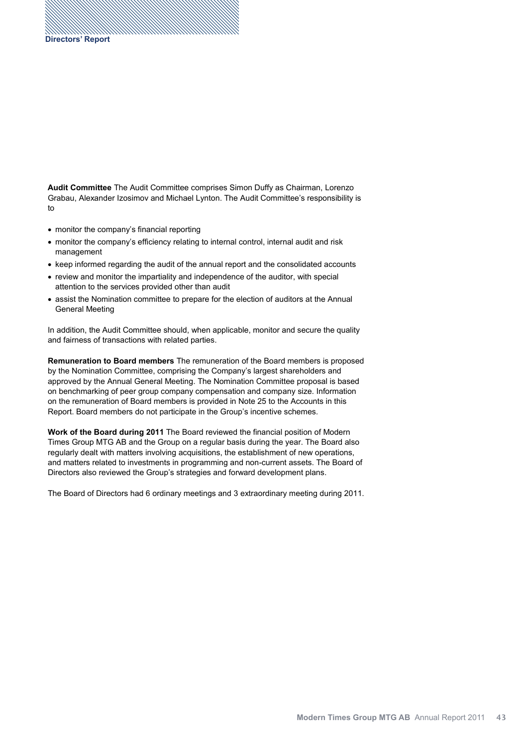**Audit Committee** The Audit Committee comprises Simon Duffy as Chairman, Lorenzo Grabau, Alexander Izosimov and Michael Lynton. The Audit Committee's responsibility is to

- monitor the company's financial reporting
- monitor the company's efficiency relating to internal control, internal audit and risk management
- keep informed regarding the audit of the annual report and the consolidated accounts
- review and monitor the impartiality and independence of the auditor, with special attention to the services provided other than audit
- assist the Nomination committee to prepare for the election of auditors at the Annual General Meeting

In addition, the Audit Committee should, when applicable, monitor and secure the quality and fairness of transactions with related parties.

**Remuneration to Board members** The remuneration of the Board members is proposed by the Nomination Committee, comprising the Company's largest shareholders and approved by the Annual General Meeting. The Nomination Committee proposal is based on benchmarking of peer group company compensation and company size. Information on the remuneration of Board members is provided in Note 25 to the Accounts in this Report. Board members do not participate in the Group's incentive schemes.

**Work of the Board during 2011** The Board reviewed the financial position of Modern Times Group MTG AB and the Group on a regular basis during the year. The Board also regularly dealt with matters involving acquisitions, the establishment of new operations, and matters related to investments in programming and non-current assets. The Board of Directors also reviewed the Group's strategies and forward development plans.

The Board of Directors had 6 ordinary meetings and 3 extraordinary meeting during 2011.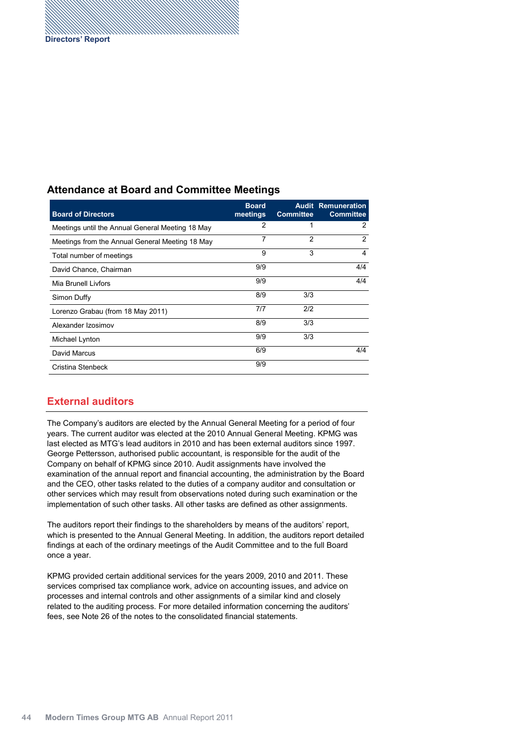# **Attendance at Board and Committee Meetings**

| <b>Board of Directors</b>                        | <b>Board</b><br>meetings | <b>Committee</b> | <b>Audit Remuneration</b><br><b>Committee</b> |
|--------------------------------------------------|--------------------------|------------------|-----------------------------------------------|
| Meetings until the Annual General Meeting 18 May | 2                        |                  | 2                                             |
| Meetings from the Annual General Meeting 18 May  | 7                        | $\mathfrak{p}$   | 2                                             |
| Total number of meetings                         | 9                        | 3                | 4                                             |
| David Chance, Chairman                           | 9/9                      |                  | 4/4                                           |
| Mia Brunell Livfors                              | 9/9                      |                  | 4/4                                           |
| Simon Duffy                                      | 8/9                      | 3/3              |                                               |
| Lorenzo Grabau (from 18 May 2011)                | 7/7                      | 2/2              |                                               |
| Alexander Izosimov                               | 8/9                      | 3/3              |                                               |
| Michael Lynton                                   | 9/9                      | 3/3              |                                               |
| David Marcus                                     | 6/9                      |                  | 4/4                                           |
| Cristina Stenbeck                                | 9/9                      |                  |                                               |

## **External auditors**

The Company's auditors are elected by the Annual General Meeting for a period of four years. The current auditor was elected at the 2010 Annual General Meeting. KPMG was last elected as MTG's lead auditors in 2010 and has been external auditors since 1997. George Pettersson, authorised public accountant, is responsible for the audit of the Company on behalf of KPMG since 2010. Audit assignments have involved the examination of the annual report and financial accounting, the administration by the Board and the CEO, other tasks related to the duties of a company auditor and consultation or other services which may result from observations noted during such examination or the implementation of such other tasks. All other tasks are defined as other assignments.

The auditors report their findings to the shareholders by means of the auditors' report, which is presented to the Annual General Meeting. In addition, the auditors report detailed findings at each of the ordinary meetings of the Audit Committee and to the full Board once a year.

KPMG provided certain additional services for the years 2009, 2010 and 2011. These services comprised tax compliance work, advice on accounting issues, and advice on processes and internal controls and other assignments of a similar kind and closely related to the auditing process. For more detailed information concerning the auditors' fees, see Note 26 of the notes to the consolidated financial statements.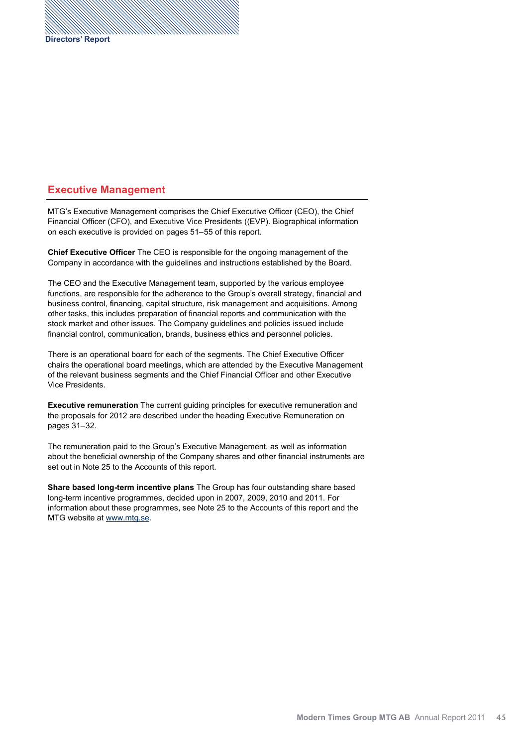## **Executive Management**

MTG's Executive Management comprises the Chief Executive Officer (CEO), the Chief Financial Officer (CFO), and Executive Vice Presidents ((EVP). Biographical information on each executive is provided on pages 51–55 of this report.

**Chief Executive Officer** The CEO is responsible for the ongoing management of the Company in accordance with the guidelines and instructions established by the Board.

The CEO and the Executive Management team, supported by the various employee functions, are responsible for the adherence to the Group's overall strategy, financial and business control, financing, capital structure, risk management and acquisitions. Among other tasks, this includes preparation of financial reports and communication with the stock market and other issues. The Company guidelines and policies issued include financial control, communication, brands, business ethics and personnel policies.

There is an operational board for each of the segments. The Chief Executive Officer chairs the operational board meetings, which are attended by the Executive Management of the relevant business segments and the Chief Financial Officer and other Executive Vice Presidents.

**Executive remuneration** The current guiding principles for executive remuneration and the proposals for 2012 are described under the heading Executive Remuneration on pages 31-32.

The remuneration paid to the Group's Executive Management, as well as information about the beneficial ownership of the Company shares and other financial instruments are set out in Note 25 to the Accounts of this report.

**Share based long-term incentive plans** The Group has four outstanding share based long-term incentive programmes, decided upon in 2007, 2009, 2010 and 2011. For information about these programmes, see Note 25 to the Accounts of this report and the MTG website at www.mtg.se.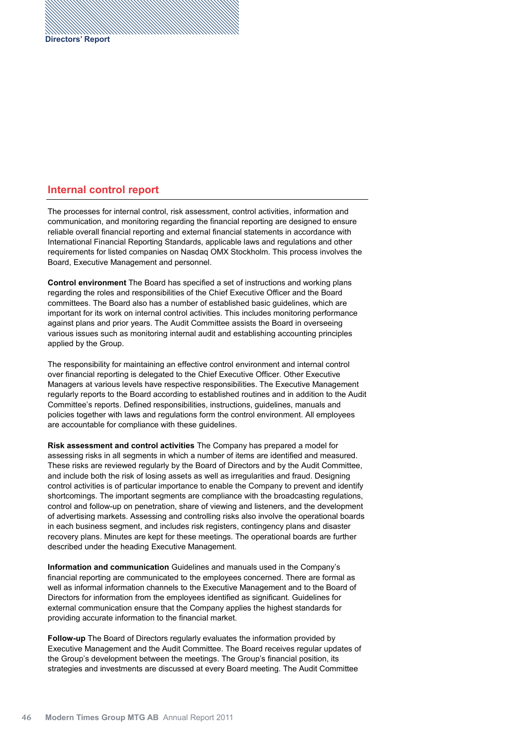## **Internal control report**

The processes for internal control, risk assessment, control activities, information and communication, and monitoring regarding the financial reporting are designed to ensure reliable overall financial reporting and external financial statements in accordance with International Financial Reporting Standards, applicable laws and regulations and other requirements for listed companies on Nasdaq OMX Stockholm. This process involves the Board, Executive Management and personnel.

**Control environment** The Board has specified a set of instructions and working plans regarding the roles and responsibilities of the Chief Executive Officer and the Board committees. The Board also has a number of established basic guidelines, which are important for its work on internal control activities. This includes monitoring performance against plans and prior years. The Audit Committee assists the Board in overseeing various issues such as monitoring internal audit and establishing accounting principles applied by the Group.

The responsibility for maintaining an effective control environment and internal control over financial reporting is delegated to the Chief Executive Officer. Other Executive Managers at various levels have respective responsibilities. The Executive Management regularly reports to the Board according to established routines and in addition to the Audit Committee's reports. Defined responsibilities, instructions, guidelines, manuals and policies together with laws and regulations form the control environment. All employees are accountable for compliance with these guidelines.

**Risk assessment and control activities** The Company has prepared a model for assessing risks in all segments in which a number of items are identified and measured. These risks are reviewed regularly by the Board of Directors and by the Audit Committee, and include both the risk of losing assets as well as irregularities and fraud. Designing control activities is of particular importance to enable the Company to prevent and identify shortcomings. The important segments are compliance with the broadcasting regulations, control and follow-up on penetration, share of viewing and listeners, and the development of advertising markets. Assessing and controlling risks also involve the operational boards in each business segment, and includes risk registers, contingency plans and disaster recovery plans. Minutes are kept for these meetings. The operational boards are further described under the heading Executive Management.

**Information and communication** Guidelines and manuals used in the Company's financial reporting are communicated to the employees concerned. There are formal as well as informal information channels to the Executive Management and to the Board of Directors for information from the employees identified as significant. Guidelines for external communication ensure that the Company applies the highest standards for providing accurate information to the financial market.

**Follow-up** The Board of Directors regularly evaluates the information provided by Executive Management and the Audit Committee. The Board receives regular updates of the Group's development between the meetings. The Group's financial position, its strategies and investments are discussed at every Board meeting. The Audit Committee